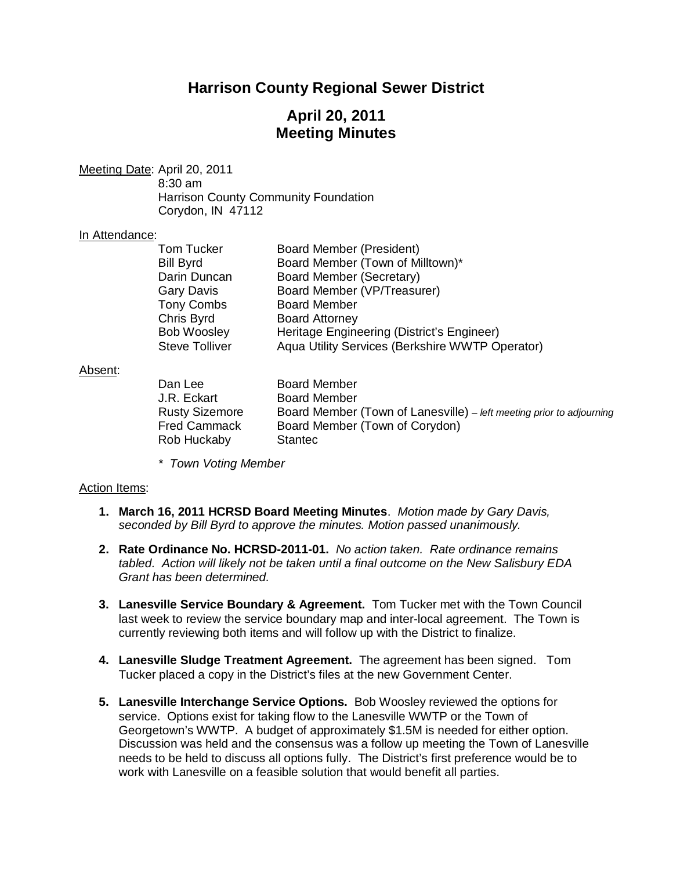# **Harrison County Regional Sewer District**

# **April 20, 2011 Meeting Minutes**

Meeting Date: April 20, 2011

8:30 am Harrison County Community Foundation Corydon, IN 47112

#### In Attendance:

| Board Member (President)                        |
|-------------------------------------------------|
| Board Member (Town of Milltown)*                |
| Board Member (Secretary)                        |
| Board Member (VP/Treasurer)                     |
| <b>Board Member</b>                             |
| <b>Board Attorney</b>                           |
| Heritage Engineering (District's Engineer)      |
| Aqua Utility Services (Berkshire WWTP Operator) |
|                                                 |

#### Absent:

| Dan Lee               | <b>Board Member</b>                                                  |
|-----------------------|----------------------------------------------------------------------|
| J.R. Eckart           | <b>Board Member</b>                                                  |
| <b>Rusty Sizemore</b> | Board Member (Town of Lanesville) – left meeting prior to adjourning |
| Fred Cammack          | Board Member (Town of Corydon)                                       |
| Rob Huckaby           | <b>Stantec</b>                                                       |

*\* Town Voting Member*

### Action Items:

- **1. March 16, 2011 HCRSD Board Meeting Minutes**. *Motion made by Gary Davis, seconded by Bill Byrd to approve the minutes. Motion passed unanimously.*
- **2. Rate Ordinance No. HCRSD-2011-01.** *No action taken. Rate ordinance remains tabled. Action will likely not be taken until a final outcome on the New Salisbury EDA Grant has been determined.*
- **3. Lanesville Service Boundary & Agreement.** Tom Tucker met with the Town Council last week to review the service boundary map and inter-local agreement. The Town is currently reviewing both items and will follow up with the District to finalize.
- **4. Lanesville Sludge Treatment Agreement.** The agreement has been signed. Tom Tucker placed a copy in the District's files at the new Government Center.
- **5. Lanesville Interchange Service Options.** Bob Woosley reviewed the options for service. Options exist for taking flow to the Lanesville WWTP or the Town of Georgetown's WWTP. A budget of approximately \$1.5M is needed for either option. Discussion was held and the consensus was a follow up meeting the Town of Lanesville needs to be held to discuss all options fully. The District's first preference would be to work with Lanesville on a feasible solution that would benefit all parties.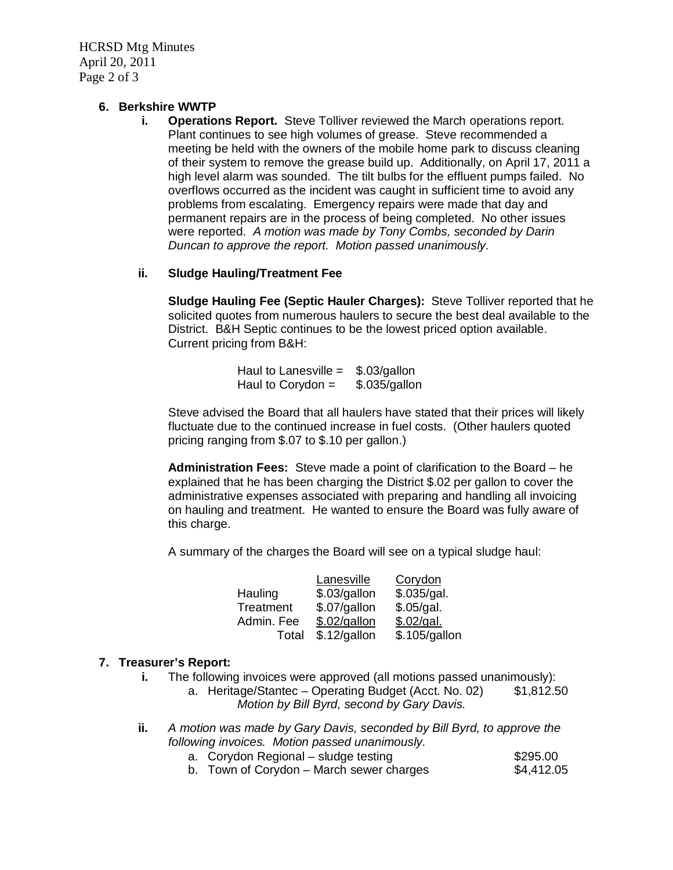HCRSD Mtg Minutes April 20, 2011 Page 2 of 3

## **6. Berkshire WWTP**

**i. Operations Report.** Steve Tolliver reviewed the March operations report. Plant continues to see high volumes of grease. Steve recommended a meeting be held with the owners of the mobile home park to discuss cleaning of their system to remove the grease build up. Additionally, on April 17, 2011 a high level alarm was sounded. The tilt bulbs for the effluent pumps failed. No overflows occurred as the incident was caught in sufficient time to avoid any problems from escalating. Emergency repairs were made that day and permanent repairs are in the process of being completed. No other issues were reported. *A motion was made by Tony Combs, seconded by Darin Duncan to approve the report. Motion passed unanimously.*

### **ii. Sludge Hauling/Treatment Fee**

**Sludge Hauling Fee (Septic Hauler Charges):** Steve Tolliver reported that he solicited quotes from numerous haulers to secure the best deal available to the District. B&H Septic continues to be the lowest priced option available. Current pricing from B&H:

| Haul to Lanesville = | \$.03/gallon  |
|----------------------|---------------|
| Haul to Corydon $=$  | \$.035/gallon |

Steve advised the Board that all haulers have stated that their prices will likely fluctuate due to the continued increase in fuel costs. (Other haulers quoted pricing ranging from \$.07 to \$.10 per gallon.)

**Administration Fees:** Steve made a point of clarification to the Board – he explained that he has been charging the District \$.02 per gallon to cover the administrative expenses associated with preparing and handling all invoicing on hauling and treatment. He wanted to ensure the Board was fully aware of this charge.

A summary of the charges the Board will see on a typical sludge haul:

|            | Lanesville   | Corydon       |
|------------|--------------|---------------|
| Hauling    | \$.03/gallon | \$.035/gal.   |
| Treatment  | \$.07/gallon | \$.05/gal.    |
| Admin. Fee | \$.02/gallon | \$.02/gal.    |
| Total      | \$.12/gallon | \$.105/gallon |

### **7. Treasurer's Report:**

- **i.** The following invoices were approved (all motions passed unanimously):
	- a. Heritage/Stantec Operating Budget (Acct. No. 02) \$1,812.50 *Motion by Bill Byrd, second by Gary Davis.*
- **ii.** *A motion was made by Gary Davis, seconded by Bill Byrd, to approve the following invoices. Motion passed unanimously.*
	- a. Corydon Regional sludge testing **\$295.00**
	- b. Town of Corydon March sewer charges \$4,412.05